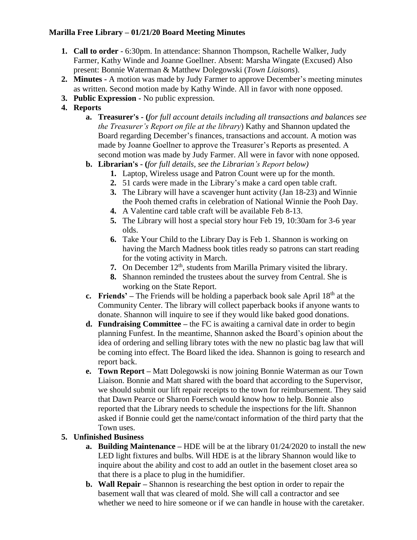## **Marilla Free Library – 01/21/20 Board Meeting Minutes**

- **1. Call to order** 6:30pm. In attendance: Shannon Thompson, Rachelle Walker, Judy Farmer, Kathy Winde and Joanne Goellner. Absent: Marsha Wingate (Excused) Also present: Bonnie Waterman & Matthew Dolegowski (*Town Liaisons*).
- **2. Minutes -** A motion was made by Judy Farmer to approve December's meeting minutes as written. Second motion made by Kathy Winde. All in favor with none opposed.
- **3. Public Expression -** No public expression.
- **4. Reports**
	- **a. Treasurer's - (***for full account details including all transactions and balances see the Treasurer's Report on file at the library*) Kathy and Shannon updated the Board regarding December's finances, transactions and account. A motion was made by Joanne Goellner to approve the Treasurer's Reports as presented. A second motion was made by Judy Farmer. All were in favor with none opposed.
	- **b. Librarian's - (***for full details, see the Librarian's Report below)*
		- **1.** Laptop, Wireless usage and Patron Count were up for the month.
		- **2.** 51 cards were made in the Library's make a card open table craft.
		- **3.** The Library will have a scavenger hunt activity (Jan 18-23) and Winnie the Pooh themed crafts in celebration of National Winnie the Pooh Day.
		- **4.** A Valentine card table craft will be available Feb 8-13.
		- **5.** The Library will host a special story hour Feb 19, 10:30am for 3-6 year olds.
		- **6.** Take Your Child to the Library Day is Feb 1. Shannon is working on having the March Madness book titles ready so patrons can start reading for the voting activity in March.
		- **7.** On December 12<sup>th</sup>, students from Marilla Primary visited the library.
		- **8.** Shannon reminded the trustees about the survey from Central. She is working on the State Report.
	- **c. Friends'** The Friends will be holding a paperback book sale April 18<sup>th</sup> at the Community Center. The library will collect paperback books if anyone wants to donate. Shannon will inquire to see if they would like baked good donations.
	- **d. Fundraising Committee –** the FC is awaiting a carnival date in order to begin planning Funfest. In the meantime, Shannon asked the Board's opinion about the idea of ordering and selling library totes with the new no plastic bag law that will be coming into effect. The Board liked the idea. Shannon is going to research and report back.
	- **e. Town Report –** Matt Dolegowski is now joining Bonnie Waterman as our Town Liaison. Bonnie and Matt shared with the board that according to the Supervisor, we should submit our lift repair receipts to the town for reimbursement. They said that Dawn Pearce or Sharon Foersch would know how to help. Bonnie also reported that the Library needs to schedule the inspections for the lift. Shannon asked if Bonnie could get the name/contact information of the third party that the Town uses.

# **5. Unfinished Business**

- **a. Building Maintenance –** HDE will be at the library 01/24/2020 to install the new LED light fixtures and bulbs. Will HDE is at the library Shannon would like to inquire about the ability and cost to add an outlet in the basement closet area so that there is a place to plug in the humidifier.
- **b. Wall Repair –** Shannon is researching the best option in order to repair the basement wall that was cleared of mold. She will call a contractor and see whether we need to hire someone or if we can handle in house with the caretaker.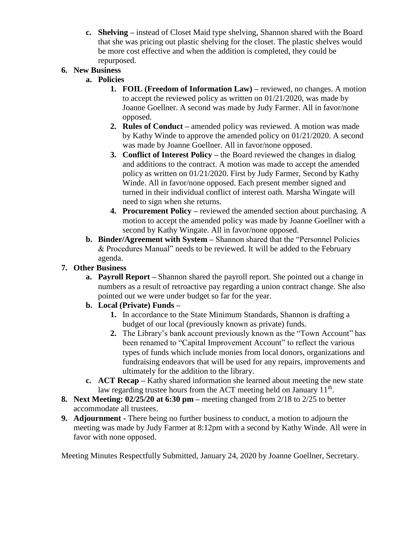**c. Shelving –** instead of Closet Maid type shelving, Shannon shared with the Board that she was pricing out plastic shelving for the closet. The plastic shelves would be more cost effective and when the addition is completed, they could be repurposed.

# **6. New Business**

- **a. Policies**
	- **1. FOIL (Freedom of Information Law) –** reviewed, no changes. A motion to accept the reviewed policy as written on 01/21/2020, was made by Joanne Goellner. A second was made by Judy Farmer. All in favor/none opposed.
	- **2. Rules of Conduct –** amended policy was reviewed. A motion was made by Kathy Winde to approve the amended policy on 01/21/2020. A second was made by Joanne Goellner. All in favor/none opposed.
	- **3. Conflict of Interest Policy –** the Board reviewed the changes in dialog and additions to the contract. A motion was made to accept the amended policy as written on 01/21/2020. First by Judy Farmer, Second by Kathy Winde. All in favor/none opposed. Each present member signed and turned in their individual conflict of interest oath. Marsha Wingate will need to sign when she returns.
	- **4. Procurement Policy –** reviewed the amended section about purchasing. A motion to accept the amended policy was made by Joanne Goellner with a second by Kathy Wingate. All in favor/none opposed.
- **b. Binder/Agreement with System –** Shannon shared that the "Personnel Policies & Procedures Manual" needs to be reviewed. It will be added to the February agenda.

# **7. Other Business**

**a. Payroll Report –** Shannon shared the payroll report. She pointed out a change in numbers as a result of retroactive pay regarding a union contract change. She also pointed out we were under budget so far for the year.

# **b. Local (Private) Funds –**

- **1.** In accordance to the State Minimum Standards, Shannon is drafting a budget of our local (previously known as private) funds.
- **2.** The Library's bank account previously known as the "Town Account" has been renamed to "Capital Improvement Account" to reflect the various types of funds which include monies from local donors, organizations and fundraising endeavors that will be used for any repairs, improvements and ultimately for the addition to the library.
- **c. ACT Recap** Kathy shared information she learned about meeting the new state law regarding trustee hours from the ACT meeting held on January  $11<sup>th</sup>$ .
- **8. Next Meeting: 02/25/20 at 6:30 pm –** meeting changed from 2/18 to 2/25 to better accommodate all trustees.
- **9. Adjournment -** There being no further business to conduct, a motion to adjourn the meeting was made by Judy Farmer at 8:12pm with a second by Kathy Winde. All were in favor with none opposed.

Meeting Minutes Respectfully Submitted, January 24, 2020 by Joanne Goellner, Secretary.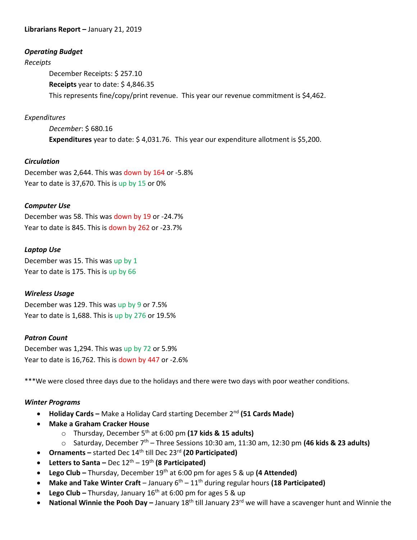### **Librarians Report –** January 21, 2019

#### *Operating Budget*

#### *Receipts*

December Receipts: \$ 257.10 **Receipts** year to date: \$ 4,846.35 This represents fine/copy/print revenue. This year our revenue commitment is \$4,462.

### *Expenditures*

*December*: \$ 680.16 **Expenditures** year to date: \$ 4,031.76. This year our expenditure allotment is \$5,200.

### *Circulation*

December was 2,644. This was down by 164 or -5.8% Year to date is 37,670. This is up by 15 or 0%

### *Computer Use*

December was 58. This was down by 19 or -24.7% Year to date is 845. This is down by 262 or -23.7%

### *Laptop Use*

December was 15. This was up by 1 Year to date is 175. This is up by 66

#### *Wireless Usage*

December was 129. This was up by 9 or 7.5% Year to date is 1,688. This is up by 276 or 19.5%

#### *Patron Count*

December was 1,294. This was up by 72 or 5.9% Year to date is 16,762. This is down by 447 or -2.6%

\*\*\*We were closed three days due to the holidays and there were two days with poor weather conditions.

### *Winter Programs*

- **Holiday Cards –** Make a Holiday Card starting December 2nd **(51 Cards Made)**
- **Make a Graham Cracker House** 
	- o Thursday, December 5th at 6:00 pm **(17 kids & 15 adults)**
	- o Saturday, December 7th Three Sessions 10:30 am, 11:30 am, 12:30 pm **(46 kids & 23 adults)**
- **•** Ornaments started Dec 14<sup>th</sup> till Dec 23<sup>rd</sup> (20 Participated)
- **Letters to Santa –** Dec 12th 19th **(8 Participated)**
- **Lego Club –** Thursday, December 19th at 6:00 pm for ages 5 & up **(4 Attended)**
- **Make and Take Winter Craft** January  $6^{th}$  11<sup>th</sup> during regular hours (18 Participated)
- **Lego Club –** Thursday, January 16<sup>th</sup> at 6:00 pm for ages 5 & up
- **National Winnie the Pooh Day** January 18<sup>th</sup> till January 23<sup>rd</sup> we will have a scavenger hunt and Winnie the